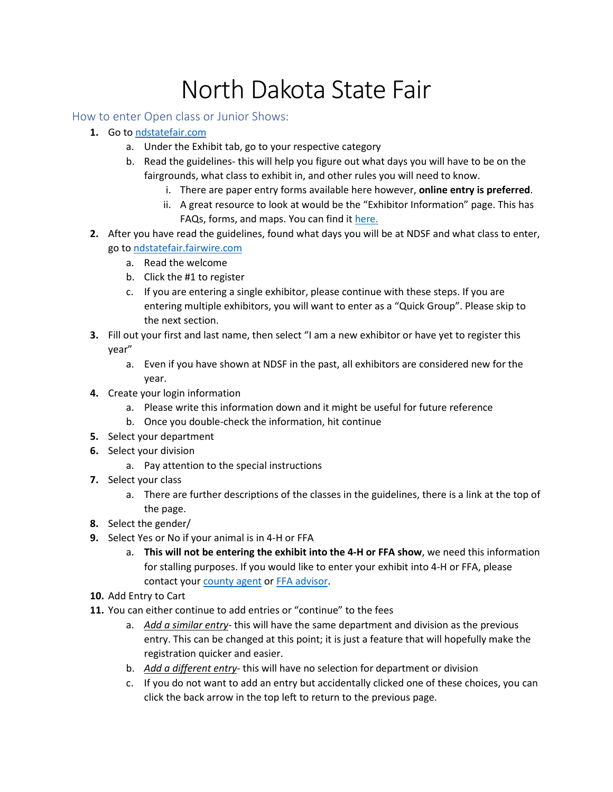## North Dakota State Fair

How to enter Open class or Junior Shows:

- **1.** Go to [ndstatefair.com](https://ndstatefair.com/)
	- a. Under the Exhibit tab, go to your respective category
	- b. Read the guidelines- this will help you figure out what days you will have to be on the fairgrounds, what class to exhibit in, and other rules you will need to know.
		- i. There are paper entry forms available here however, **online entry is preferred**.
		- ii. A great resource to look at would be the "Exhibitor Information" page. This has FAQs, forms, and maps. You can find i[t here.](https://ndstatefair.com/exhibitor-information/)
- **2.** After you have read the guidelines, found what days you will be at NDSF and what class to enter, go to [ndstatefair.fairwire.com](https://ndstatefair.fairwire.com/)
	- a. Read the welcome
	- b. Click the #1 to register
	- c. If you are entering a single exhibitor, please continue with these steps. If you are entering multiple exhibitors, you will want to enter as a "Quick Group". Please skip to the next section.
- **3.** Fill out your first and last name, then select "I am a new exhibitor or have yet to register this year"
	- a. Even if you have shown at NDSF in the past, all exhibitors are considered new for the year.
- **4.** Create your login information
	- a. Please write this information down and it might be useful for future reference
	- b. Once you double-check the information, hit continue
- **5.** Select your department
- **6.** Select your division
	- a. Pay attention to the special instructions
- **7.** Select your class
	- a. There are further descriptions of the classes in the guidelines, there is a link at the top of the page.
- **8.** Select the gender/
- **9.** Select Yes or No if your animal is in 4-H or FFA
	- a. **This will not be entering the exhibit into the 4-H or FFA show**, we need this information for stalling purposes. If you would like to enter your exhibit into 4-H or FFA, please contact your [county agent](https://www.ndsu.edu/agriculture/extension/county-extension-offices) or [FFA advisor.](https://www.ndffa.org/teacher-directory)
- **10.** Add Entry to Cart
- **11.** You can either continue to add entries or "continue" to the fees
	- a. *Add a similar entry* this will have the same department and division as the previous entry. This can be changed at this point; it is just a feature that will hopefully make the registration quicker and easier.
	- b. *Add a different entry* this will have no selection for department or division
	- c. If you do not want to add an entry but accidentally clicked one of these choices, you can click the back arrow in the top left to return to the previous page.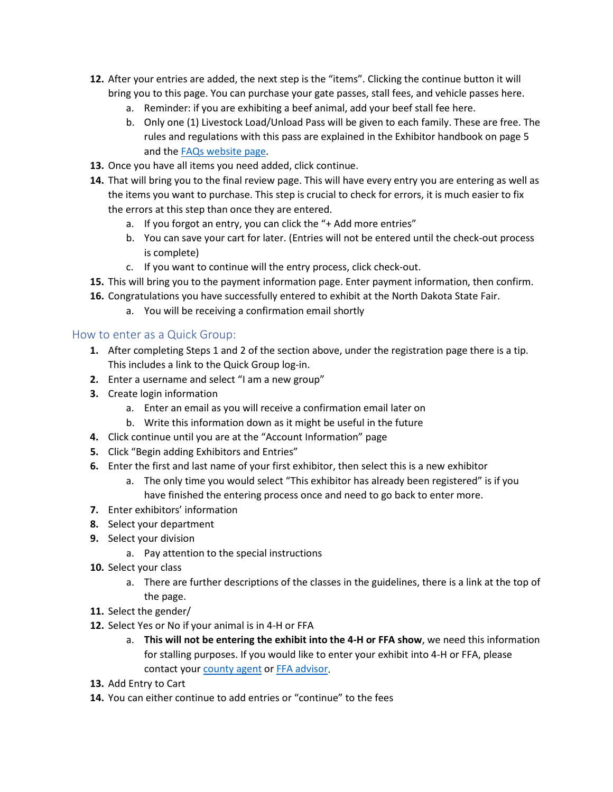- **12.** After your entries are added, the next step is the "items". Clicking the continue button it will bring you to this page. You can purchase your gate passes, stall fees, and vehicle passes here.
	- a. Reminder: if you are exhibiting a beef animal, add your beef stall fee here.
	- b. Only one (1) Livestock Load/Unload Pass will be given to each family. These are free. The rules and regulations with this pass are explained in the Exhibitor handbook on page 5 and th[e FAQs website page.](https://ndstatefair.com/exhibitor-information/)
- **13.** Once you have all items you need added, click continue.
- **14.** That will bring you to the final review page. This will have every entry you are entering as well as the items you want to purchase. This step is crucial to check for errors, it is much easier to fix the errors at this step than once they are entered.
	- a. If you forgot an entry, you can click the "+ Add more entries"
	- b. You can save your cart for later. (Entries will not be entered until the check-out process is complete)
	- c. If you want to continue will the entry process, click check-out.
- **15.** This will bring you to the payment information page. Enter payment information, then confirm.
- **16.** Congratulations you have successfully entered to exhibit at the North Dakota State Fair.
	- a. You will be receiving a confirmation email shortly

## How to enter as a Quick Group:

- **1.** After completing Steps 1 and 2 of the section above, under the registration page there is a tip. This includes a link to the Quick Group log-in.
- **2.** Enter a username and select "I am a new group"
- **3.** Create login information
	- a. Enter an email as you will receive a confirmation email later on
	- b. Write this information down as it might be useful in the future
- **4.** Click continue until you are at the "Account Information" page
- **5.** Click "Begin adding Exhibitors and Entries"
- **6.** Enter the first and last name of your first exhibitor, then select this is a new exhibitor
	- a. The only time you would select "This exhibitor has already been registered" is if you have finished the entering process once and need to go back to enter more.
- **7.** Enter exhibitors' information
- **8.** Select your department
- **9.** Select your division
	- a. Pay attention to the special instructions
- **10.** Select your class
	- a. There are further descriptions of the classes in the guidelines, there is a link at the top of the page.
- **11.** Select the gender/
- **12.** Select Yes or No if your animal is in 4-H or FFA
	- a. **This will not be entering the exhibit into the 4-H or FFA show**, we need this information for stalling purposes. If you would like to enter your exhibit into 4-H or FFA, please contact your [county agent](https://www.ndsu.edu/agriculture/extension/county-extension-offices) or [FFA advisor.](https://www.ndffa.org/teacher-directory)
- **13.** Add Entry to Cart
- **14.** You can either continue to add entries or "continue" to the fees